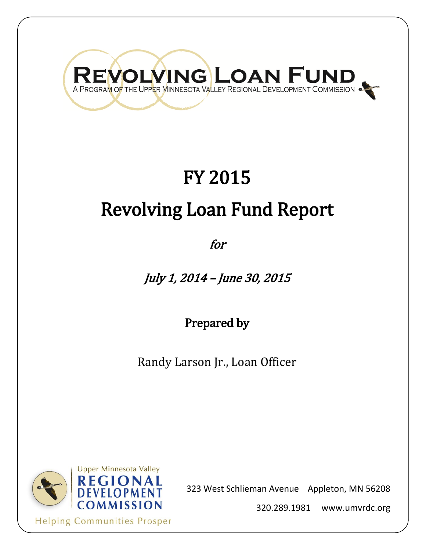# REVOLVING LOAN FUND

## FY 2015 Revolving Loan Fund Report

for

July 1, 2014 – June 30, 2015

Prepared by

Randy Larson Jr., Loan Officer



323 West Schlieman Avenue Appleton, MN 56208

320.289.1981 www.umvrdc.org

**Helping Communities Prosper**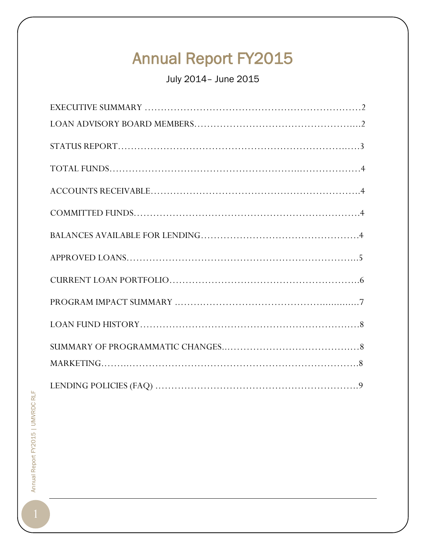## Annual Report FY2015

July 2014– June 2015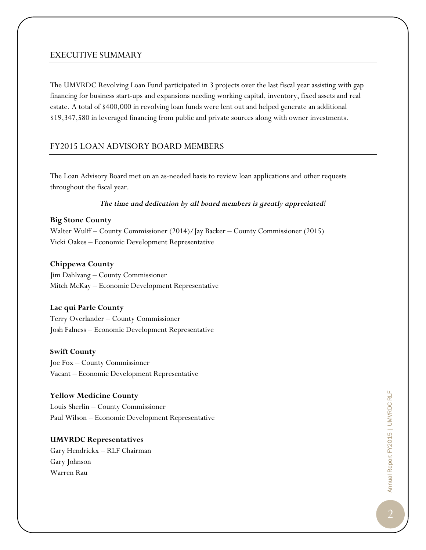#### EXECUTIVE SUMMARY

The UMVRDC Revolving Loan Fund participated in 3 projects over the last fiscal year assisting with gap financing for business start-ups and expansions needing working capital, inventory, fixed assets and real estate. A total of \$400,000 in revolving loan funds were lent out and helped generate an additional \$19,347,580 in leveraged financing from public and private sources along with owner investments.

#### FY2015 LOAN ADVISORY BOARD MEMBERS

The Loan Advisory Board met on an as-needed basis to review loan applications and other requests throughout the fiscal year.

#### *The time and dedication by all board members is greatly appreciated!*

#### **Big Stone County**

Walter Wulff – County Commissioner (2014)/Jay Backer – County Commissioner (2015) Vicki Oakes – Economic Development Representative

#### **Chippewa County**

Jim Dahlvang – County Commissioner Mitch McKay – Economic Development Representative

#### **Lac qui Parle County**

Terry Overlander – County Commissioner Josh Falness – Economic Development Representative

#### **Swift County**

Joe Fox – County Commissioner Vacant – Economic Development Representative

#### **Yellow Medicine County**

Louis Sherlin – County Commissioner Paul Wilson – Economic Development Representative

**UMVRDC Representatives** Gary Hendrickx – RLF Chairman Gary Johnson Warren Rau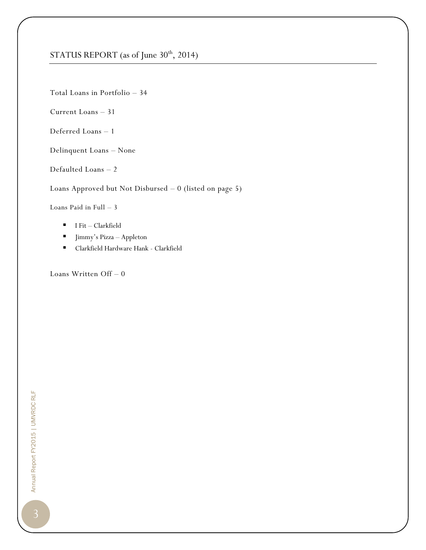#### STATUS REPORT (as of June 30<sup>th</sup>, 2014)

Total Loans in Portfolio – 34

Current Loans – 31

Deferred Loans – 1

Delinquent Loans – None

Defaulted Loans – 2

Loans Approved but Not Disbursed – 0 (listed on page 5)

Loans Paid in Full – 3

- $I$  Fit Clarkfield
- Jimmy's Pizza Appleton
- Clarkfield Hardware Hank Clarkfield

Loans Written Off – 0

Annual Report FY2015 | UMVRDC RLF Annual Report FY2015 | UMVRDC RLF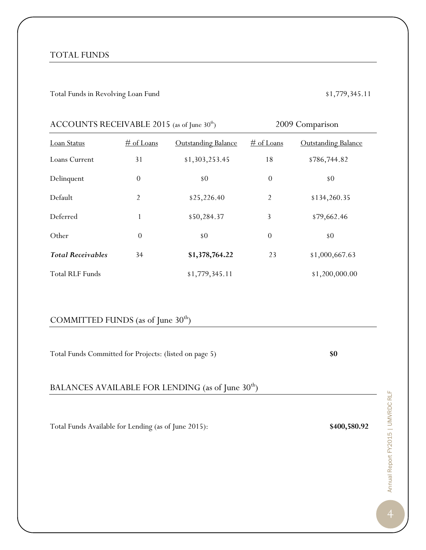#### TOTAL FUNDS

#### Total Funds in Revolving Loan Fund \$1,779,345.11

| ACCOUNTS RECEIVABLE 2015 (as of June $30th$ ) |                  |                            | 2009 Comparison  |                            |  |  |
|-----------------------------------------------|------------------|----------------------------|------------------|----------------------------|--|--|
| <b>Loan Status</b>                            | $\#$ of Loans    | <b>Outstanding Balance</b> | $\#$ of Loans    | <b>Outstanding Balance</b> |  |  |
| Loans Current                                 | 31               | \$1,303,253.45             | 18               | \$786,744.82               |  |  |
| Delinquent                                    | $\theta$         | \$0                        | $\theta$         | \$0                        |  |  |
| Default                                       | $\overline{2}$   | \$25,226.40                | $\overline{2}$   | \$134,260.35               |  |  |
| Deferred                                      | 1                | \$50,284.37                | 3                | \$79,662.46                |  |  |
| Other                                         | $\boldsymbol{0}$ | \$0                        | $\boldsymbol{0}$ | \$0                        |  |  |
| <b>Total Receivables</b>                      | 34               | \$1,378,764.22             | 23               | \$1,000,667.63             |  |  |
| <b>Total RLF Funds</b>                        |                  | \$1,779,345.11             |                  | \$1,200,000.00             |  |  |

#### COMMITTED FUNDS (as of June  $30<sup>th</sup>$ )

Total Funds Committed for Projects: (listed on page 5) **\$0**

#### BALANCES AVAILABLE FOR LENDING (as of June  $30^{\rm th})$

Total Funds Available for Lending (as of June 2015): **\$400,580.92**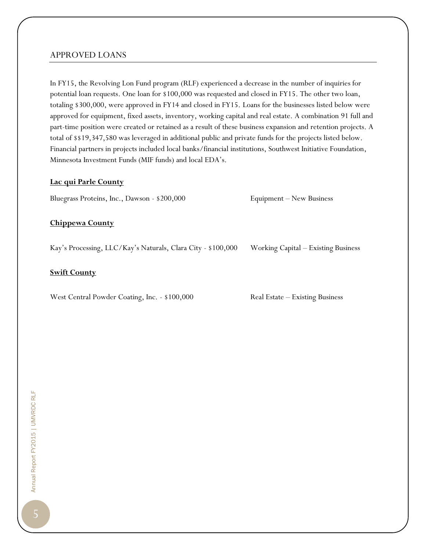#### APPROVED LOANS

In FY15, the Revolving Lon Fund program (RLF) experienced a decrease in the number of inquiries for potential loan requests. One loan for \$100,000 was requested and closed in FY15. The other two loan, totaling \$300,000, were approved in FY14 and closed in FY15. Loans for the businesses listed below were approved for equipment, fixed assets, inventory, working capital and real estate. A combination 91 full and part-time position were created or retained as a result of these business expansion and retention projects. A total of \$\$19,347,580 was leveraged in additional public and private funds for the projects listed below. Financial partners in projects included local banks/financial institutions, Southwest Initiative Foundation, Minnesota Investment Funds (MIF funds) and local EDA's.

#### **Lac qui Parle County**

Bluegrass Proteins, Inc., Dawson - \$200,000 Equipment – New Business

#### **Chippewa County**

Kay's Processing, LLC/Kay's Naturals, Clara City - \$100,000 Working Capital – Existing Business

#### **Swift County**

West Central Powder Coating, Inc. - \$100,000 Real Estate – Existing Business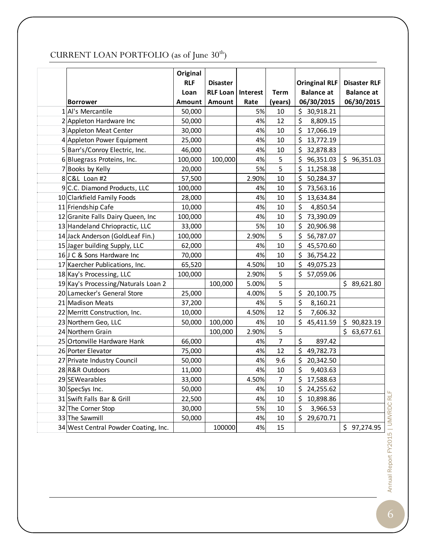### CURRENT LOAN PORTFOLIO (as of June  $30<sup>th</sup>$ )

|                                      | Original      |                 |          |                |                      |                     |
|--------------------------------------|---------------|-----------------|----------|----------------|----------------------|---------------------|
|                                      | <b>RLF</b>    | <b>Disaster</b> |          |                | <b>Oringinal RLF</b> | <b>Disaster RLF</b> |
|                                      | Loan          | <b>RLF Loan</b> | Interest | <b>Term</b>    | <b>Balance at</b>    | <b>Balance</b> at   |
| <b>Borrower</b>                      | <b>Amount</b> | Amount          | Rate     | (years)        | 06/30/2015           | 06/30/2015          |
| 1 Al's Mercantile                    | 50,000        |                 | 5%       | 10             | \$<br>30,918.21      |                     |
| 2 Appleton Hardware Inc              | 50,000        |                 | 4%       | 12             | \$<br>8,809.15       |                     |
| 3 Appleton Meat Center               | 30,000        |                 | 4%       | 10             | \$<br>17,066.19      |                     |
| 4 Appleton Power Equipment           | 25,000        |                 | 4%       | 10             | \$<br>13,772.19      |                     |
| 5 Barr's/Conroy Electric, Inc.       | 46,000        |                 | 4%       | 10             | \$<br>32,878.83      |                     |
| 6Bluegrass Proteins, Inc.            | 100,000       | 100,000         | 4%       | 5              | \$<br>96,351.03      | \$96,351.03         |
| 7 Books by Kelly                     | 20,000        |                 | 5%       | 5              | \$<br>11,258.38      |                     |
| 8 C&L Loan #2                        | 57,500        |                 | 2.90%    | 10             | \$<br>50,284.37      |                     |
| 9 C.C. Diamond Products, LLC         | 100,000       |                 | 4%       | 10             | \$<br>73,563.16      |                     |
| 10 Clarkfield Family Foods           | 28,000        |                 | 4%       | 10             | \$<br>13,634.84      |                     |
| 11 Friendship Cafe                   | 10,000        |                 | 4%       | 10             | $\zeta$<br>4,850.54  |                     |
| 12 Granite Falls Dairy Queen, Inc    | 100,000       |                 | 4%       | 10             | \$<br>73,390.09      |                     |
| 13 Handeland Chriopractic, LLC       | 33,000        |                 | 5%       | 10             | \$<br>20,906.98      |                     |
| 14 Jack Anderson (GoldLeaf Fin.)     | 100,000       |                 | 2.90%    | 5              | \$<br>56,787.07      |                     |
| 15 Jager building Supply, LLC        | 62,000        |                 | 4%       | 10             | \$<br>45,570.60      |                     |
| 16J C & Sons Hardware Inc            | 70,000        |                 | 4%       | 10             | \$<br>36,754.22      |                     |
| 17 Kaercher Publications, Inc.       | 65,520        |                 | 4.50%    | 10             | \$<br>49,075.23      |                     |
| 18 Kay's Processing, LLC             | 100,000       |                 | 2.90%    | 5              | \$<br>57,059.06      |                     |
| 19 Kay's Processing/Naturals Loan 2  |               | 100,000         | 5.00%    | 5              |                      | \$89,621.80         |
| 20 Lamecker's General Store          | 25,000        |                 | 4.00%    | 5              | \$<br>20,100.75      |                     |
| 21 Madison Meats                     | 37,200        |                 | 4%       | 5              | \$<br>8,160.21       |                     |
| 22 Merritt Construction, Inc.        | 10,000        |                 | 4.50%    | 12             | \$<br>7,606.32       |                     |
| 23 Northern Geo, LLC                 | 50,000        | 100,000         | 4%       | 10             | \$<br>45,411.59      | \$90,823.19         |
| 24 Northern Grain                    |               | 100,000         | 2.90%    | 5              |                      | \$63,677.61         |
| 25 Ortonville Hardware Hank          | 66,000        |                 | 4%       | $\overline{7}$ | $\zeta$<br>897.42    |                     |
| 26 Porter Elevator                   | 75,000        |                 | 4%       | 12             | \$<br>49,782.73      |                     |
| 27 Private Industry Council          | 50,000        |                 | 4%       | 9.6            | \$<br>20,342.50      |                     |
| 28 R&R Outdoors                      | 11,000        |                 | 4%       | 10             | \$<br>9,403.63       |                     |
| 29 SEWearables                       | 33,000        |                 | 4.50%    | $\overline{7}$ | \$<br>17,588.63      |                     |
| 30 SpecSys Inc.                      | 50,000        |                 | 4%       | 10             | \$<br>24,255.62      |                     |
| 31 Swift Falls Bar & Grill           | 22,500        |                 | 4%       | 10             | \$<br>10,898.86      |                     |
| 32 The Corner Stop                   | 30,000        |                 | 5%       | 10             | \$<br>3,966.53       |                     |
| 33 The Sawmill                       | 50,000        |                 | 4%       | 10             | \$<br>29,670.71      |                     |
| 34 West Central Powder Coating, Inc. |               | 100000          | 4%       | 15             |                      | \$97,274.95         |

Annual Report FY2015 | UMVRDC RLF Annual Report FY2015 | UMVRDC RLF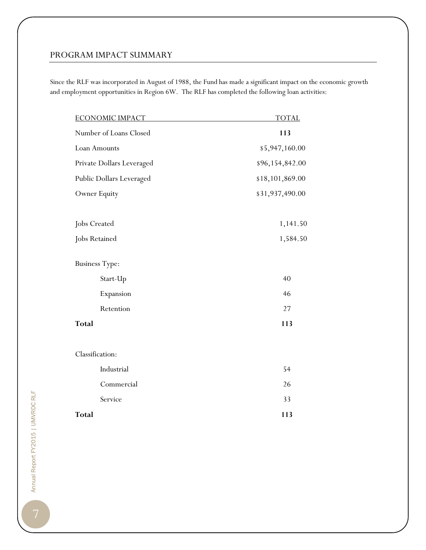#### PROGRAM IMPACT SUMMARY

Since the RLF was incorporated in August of 1988, the Fund has made a significant impact on the economic growth and employment opportunities in Region 6W. The RLF has completed the following loan activities:

| <b>ECONOMIC IMPACT</b>    | <b>TOTAL</b>    |  |  |  |
|---------------------------|-----------------|--|--|--|
| Number of Loans Closed    | 113             |  |  |  |
| Loan Amounts              | \$5,947,160.00  |  |  |  |
| Private Dollars Leveraged | \$96,154,842.00 |  |  |  |
| Public Dollars Leveraged  | \$18,101,869.00 |  |  |  |
| Owner Equity              | \$31,937,490.00 |  |  |  |
| Jobs Created              | 1,141.50        |  |  |  |
| Jobs Retained             | 1,584.50        |  |  |  |
| <b>Business Type:</b>     |                 |  |  |  |
| Start-Up                  | 40              |  |  |  |
| Expansion                 | 46              |  |  |  |
| Retention                 | 27              |  |  |  |
| <b>Total</b>              | 113             |  |  |  |
| Classification:           |                 |  |  |  |
| Industrial                | 54              |  |  |  |
| Commercial                | 26              |  |  |  |
| Service                   | 33              |  |  |  |
| <b>Total</b>              | 113             |  |  |  |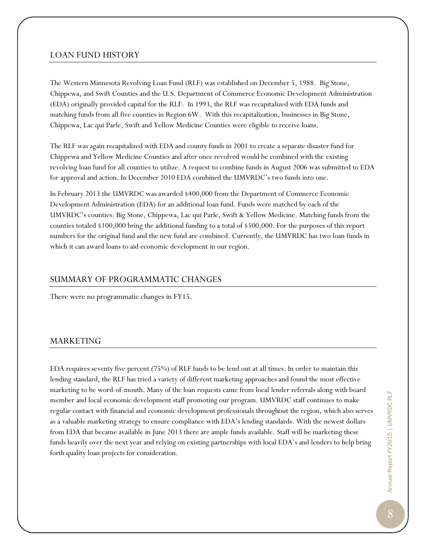#### LOAN FUND HISTORY

The Western Minnesota Revolving Loan Fund (RLF) was established on December 5, 1988. Big Stone, Chippewa, and Swift Counties and the U.S. Department of Commerce Economic Development Administration (EDA) originally provided capital for the RLF. In 1993, the RLF was recapitalized with EDA funds and matching funds from all five counties in Region 6W. With this recapitalization, businesses in Big Stone, Chippewa, Lac qui Parle, Swift and Yellow Medicine Counties were eligible to receive loans.

The RLF was again recapitalized with EDA and county funds in 2001 to create a separate disaster fund for Chippewa and Yellow Medicine Counties and after once revolved would be combined with the existing revolving loan fund for all counties to utilize. A request to combine funds in August 2006 was submitted to EDA for approval and action. In December 2010 EDA combined the UMVRDC's two funds into one.

In February 2013 the UMVRDC was awarded \$400,000 from the Department of Commerce Economic Development Administration (EDA) for an additional loan fund. Funds were matched by each of the UMVRDC's counties: Big Stone, Chippewa, Lac qui Parle, Swift & Yellow Medicine. Matching funds from the counties totaled \$100,000 bring the additional funding to a total of \$500,000. For the purposes of this report numbers for the original fund and the new fund are combined. Currently, the UMVRDC has two loan funds in which it can award loans to aid economic development in our region.

#### SUMMARY OF PROGRAMMATIC CHANGES

There were no programmatic changes in FY15.

#### MARKETING

EDA requires seventy five percent (75%) of RLF funds to be lend out at all times. In order to maintain this lending standard, the RLF has tried a variety of different marketing approaches and found the most effective marketing to be word-of-mouth. Many of the loan requests came from local lender referrals along with board member and local economic development staff promoting our program. UMVRDC staff continues to make regular contact with financial and economic development professionals throughout the region, which also serves as a valuable marketing strategy to ensure compliance with EDA's lending standards. With the newest dollars from EDA that became available in June 2013 there are ample funds available. Staff will be marketing these funds heavily over the next year and relying on existing partnerships with local EDA's and lenders to help bring forth quality loan projects for consideration.